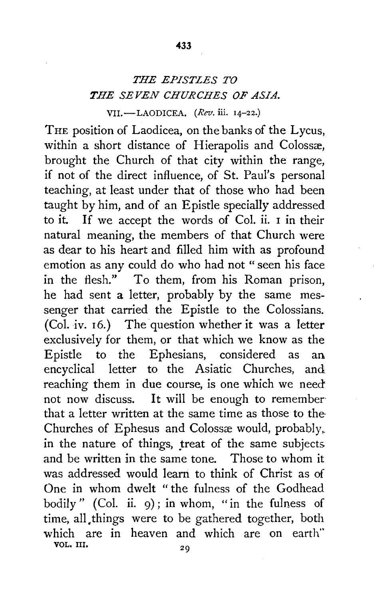## *THE EPISTLES TO THE SEVEN CHURCHES OF ASIA.*  VII.-LAODICEA. *(Rev.* ill. 14-22.)

THE position of Laodicea, on the banks of the Lycus, within a short distance of Hierapolis and Colossæ. brought the Church of that city within the range, if not of the direct influence, of St. Paul's personal teaching, at least under that of those who had been taught by him, and of an Epistle specially addressed to it. If we accept the words of Col. ii. 1 in their natural meaning, the members of that Church were as dear to his heart and filled him with as profound emotion as any could do who had not "seen his face in the flesh." To them, from his Roman prison, he had sent a letter, probably by the same messenger that carried the Epistle to the Colossians. (Col. iv. 16.) The question whether it was a letter exclusively for them, or that which we know as the Epistle to the Ephesians, considered as an encyclical letter to the Asiatic Churches, and. reaching them in due course, is one which we need not now discuss. It will be enough to remember that a letter written at the same time as those to the· Churches of Ephesus and Colossæ would, probably, in the nature of things, treat of the same subjects and be written in the same tone. Those to whom it was addressed would learn to think of Christ as of One in whom dwelt " the fulness of the Godhead bodily" (Col. ii. 9); in whom, "in the fulness of time, all.things were to be gathered together, both which are in heaven and which are on earth" VOL. III.  $2Q$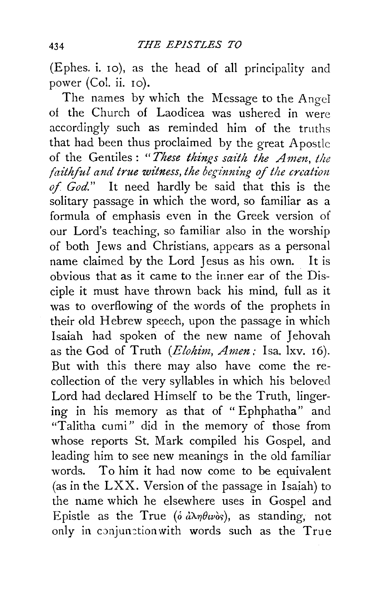(Ephes. i. 10), as the head of all principality and power (Col. ii. 10).

The names by which the Message to the Angel of the Church of Laodicea was ushered in were accordingly such as reminded him of the truths that had been thus proclaimed by the great A postlc of the Gentiles: *"These things saith the Amen, the faithful and true witness, the beginning of the creation of God."* It need hardly be said that this is the solitary passage in which the word, so familiar as a formula of emphasis even in the Greek version of our Lord's teaching, so familiar also in the worship of both Jews and Christians, appears as a personal name claimed by the Lord Jesus as his own. It is obvious that as it came to the inner ear of the Disciple it must have thrown back his mind, full as it was to overflowing of the words of the prophets in their old Hebrew speech, upon the passage in which Isaiah had spoken of the new name of Jehovah as the God of Truth *(Elohim, Amen:* Isa. lxv. 16). But with this there may also have come the recollection of the very syllables in which his beloved Lord had declared Himself to be the Truth, lingering in his memory as that of "Ephphatha" and "Talitha cumi" did in the memory of those from whose reports St. Mark compiled his Gospel, and leading him to see new meanings in the old familiar words. To him it had now come to be equivalent (as in the LXX. Version of the passage in Isaiah) to the name which he elsewhere uses in Gospel and Epistle as the True ( $\delta d\lambda \eta \theta w \delta s$ ), as standing, not only in conjunction with words such as the True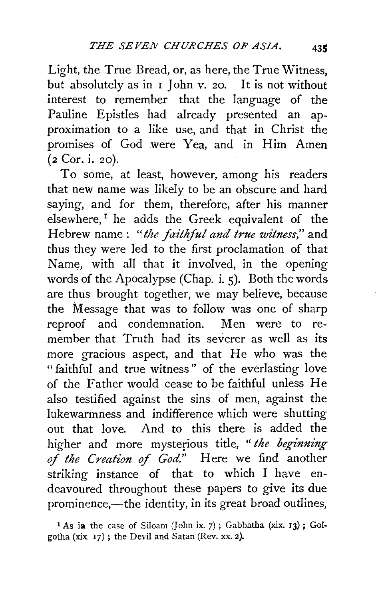Light, the True Bread, or, as here, the True Witness, but absolutely as in 1 John v. 20. It is not without interest to remember that the language of the Pauline Epistles had already presented an approximation to a like use, and that in Christ the promises of God were Yea, and in Him Amen (2 Cor. i. 20).

To some, at least, however, among his readers that new name was likely to be an obscure and hard saying, and for them, therefore, after his manner elsewhere,<sup>1</sup> he adds the Greek equivalent of the Hebrew name : *"the faithful and true witness,"* and thus they were led to the first proclamation of that Name, with all that it involved, in the opening words of the Apocalypse (Chap. i. 5). Both the words are thus brought together, we may believe, because the Message that was to follow was one of sharp reproof and condemnation. Men were to remember that Truth had its severer as well as its more gracious aspect, and that He who was the " faithful and true witness " of the everlasting love of the Father would cease to be faithful unless He also testified against the sins of men, against the lukewarmness and indifference which were shutting out that love. And to this there is added the higher and more mysterious title, *"the beginning of the Creation* of *God."* Here we find another striking instance of that to which I have endeavoured throughout these papers to give its due prominence,—the identity, in its great broad outlines,

<sup>&</sup>lt;sup>1</sup> As in the case of Siloam (John ix. 7); Gabbatha (xix.  $13$ ); Golgotha (xix 17) ; the Devil and Satan (Rev. xx. 2).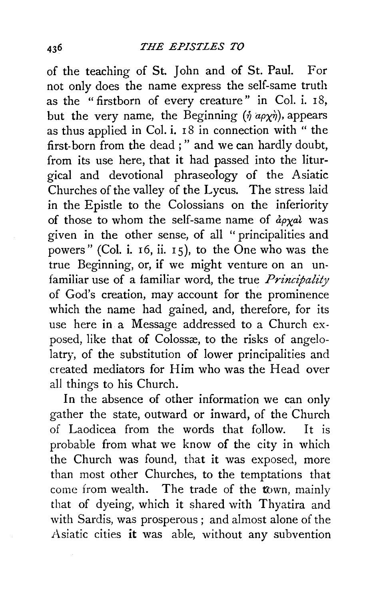of the teaching of St. John and of St. Paul. For not only does the name express the self-same truth as the " firstborn of every creature" in Col. i.  $18$ , but the very name, the Beginning  $(\eta \overline{a\rho\chi\eta})$ , appears as thus applied in Col. i. 18 in connection with " the first-born from the dead;" and we can hardly doubt, from its use here, that it had passed into the liturgical and devotional phraseology of the Asiatic Churches of the valley of the Lycus. The stress laid in the Epistle to the Colossians on the inferiority of those to whom the self-same name of  $\partial \rho x^{\alpha}$  was given in the other sense, of all "principalities and powers" (Col. i.  $16$ , ii.  $15$ ), to the One who was the true Beginning, or, if we might venture on an unfamiliar use of a familiar word, the true *Principality* of God's creation, may account for the prominence which the name had gained, and, therefore, for its use here in a Message addressed to a Church exposed, like that of Colossæ, to the risks of angelolatry, of the substitution of lower principalities and created mediators for Him who was the Head over all things to his Church.

In the absence of other information we can only gather the state, outward or inward, of the Church of Laodicea from the words that follow. It is probable from what we know of the city in which the Church was found, that it was exposed, more than most other Churches, to the temptations that come from wealth. The trade of the town, mainly that of dyeing, which it shared with Thyatira and with Sardis, was prosperous ; and almost alone of the Asiatic cities it was able, without any subvention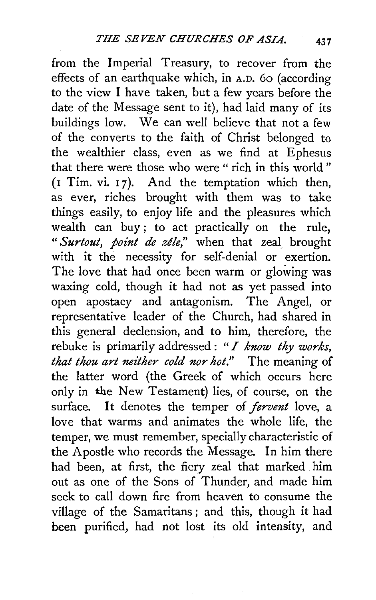from the Imperial Treasury, to recover from the effects of an earthquake which, in A.D. 6o (according to the view I have taken, but a few years before the date of the Message sent to it), had laid many of its buildings low. We can well believe that not a few of the converts to the faith of Christ belonged to the wealthier class, even as we find at Ephesus that there were those who were "rich in this world"  $(I$  Tim. vi.  $I$ 7). And the temptation which then, as ever, riches brought with them was to take things easily, to enjoy life and the pleasures which wealth can buy ; to act practically on the rule, " *Surtout, point de zele,"* when that zeal brought with it the necessity for self-denial or exertion. The love that had once been warm or glowing was waxing cold, though it had not as yet passed into open apostacy and antagonism. The Angel, or representative leader of the Church, had shared in this general declension, and to him, therefore, the rebuke is primarily addressed : *"I know thy works,*  that thou art neither cold nor hot." The meaning of the latter word (the Greek of which occurs here only in the New Testament) lies, of course, on the surface. It denotes the temper of *fervent* love, a love that warms and animates the whole life, the temper, we must remember, specially characteristic of the Apostle who records the Message. In him there had been, at first, the fiery zeal that marked him out as one of the Sons of Thunder, and made him seek to call down fire from heaven to consume the village of the Samaritans ; and this, though it had been purified, had not lost its old intensity, and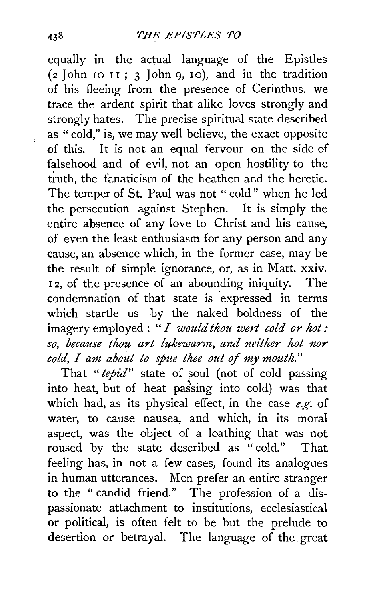equally in the actual language of the Epistles  $(z$  John 10 11;  $3$  John 9, 10), and in the tradition of his fleeing from the presence of Cerinthus, we trace the ardent spirit that alike loves strongly and strongly hates. The precise spiritual state described as " cold," is, we may well believe, the exact opposite of this. It is not an equal fervour on the side of falsehood and of evil, not an open hostility to the truth, the fanaticism of the heathen and the heretic. The temper of St. Paul was not "cold" when he led the persecution against Stephen. It is simply the entire absence of any love to Christ and his cause, of even the least enthusiasm for any person and any cause, an absence which, in the former case, may be the result of simple ignorance, or, as in Matt. xxiv. I 2, of the presence of an abounding iniquity. The condemnation of that state is expressed in terms which startle us by the naked boldness of the imagery employed : *"I would thou wert cold or hot: so, because thou art lukewarm, and neither hot nor cold, I am about to spue thee out of my mouth."* 

That *"tepid"* state of soul (not of cold passing into heat, but of heat passing into cold) was that which had, as its physical effect, in the case *e.g.* of water, to cause nausea, and which, in its moral aspect, was the object of a loathing that was not roused by the state described as "cold." That feeling has, in not a few cases, found its analogues in human utterances. Men prefer an entire stranger to the " candid friend." The profession of a dispassionate attachment to institutions, ecclesiastical or political, is often felt to be but the prelude to desertion or betrayal. The language of the great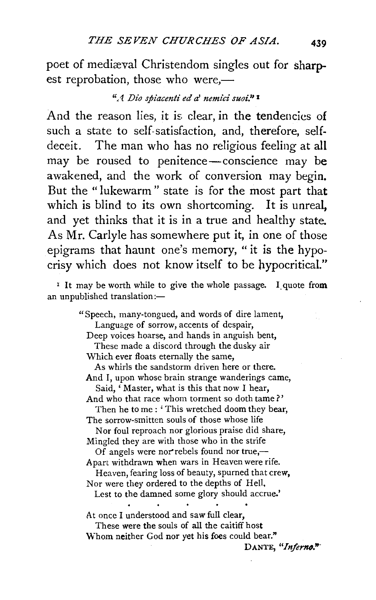poet of mediæval Christendom singles out for sharpest reprobation, those who were,-

## <sup>"</sup>A Dio spiacenti ed a' nemici suoi."<sup>1</sup>

And the reason lies, it is clear, in the tendencies of such a state to self-satisfaction, and, therefore, selfdeceit. The man who has no religious feeling at all may be roused to penitence-conscience may be awakened, and the work of conversion may begin. But the "lukewarm" state is for the most part that which is blind to its own shortcoming. It is unreal, and yet thinks that it is in a true and healthy state. As Mr. Carlyle has somewhere put it, in one of those epigrams that haunt one's memory, "it is the hypocrisy which does not know itself to be hypocritical."

<sup>1</sup> It may be worth while to give the whole passage. I quote from an unpublished translation:-

> " Speech, many-tongued, and words of dire lament, Language of sorrow, accents of despair, Deep voices hoarse, and hands in anguish bent, These made a discord through the dusky air Which ever floats eternally the same, As whirls the sandstorm driven here or there. And I, upon whose brain strange wanderings came, Said, ' Master, what is this that now I hear, And who that race whom torment so doth tame?' Then he to me : 'This wretched doom they bear, The sorrow-smitten souls of those whose life Nor foul reproach nor glorious praise did share, Mingled they are with those who in the strife Of angels were nor rebels found nor true,— Apart withdrawn when wars in Heaven were rife. Heaven, fearing loss of beauty, spurned that crew, Nor were they ordered to the depths of Hell, Lest to the damned some glory should accrue.' At once I understood and saw full clear, These were the souls of all the caitiff host Whom neither God nor yet his foes could bear."

DANTE, "Inferno."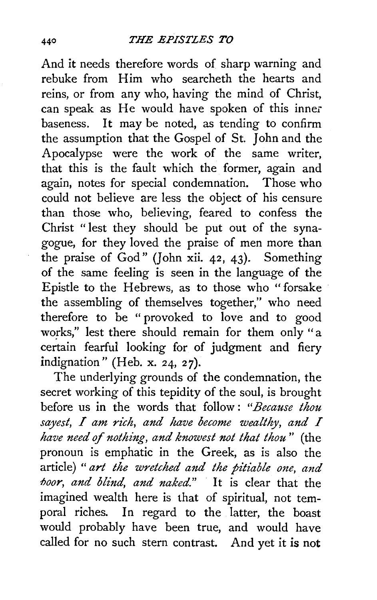And it needs therefore words of sharp warning and rebuke from Him who searcheth the hearts and reins, or from any who, having the mind of Christ, can speak as He would have spoken of this inner baseness. It may be noted, as tending to confirm the assumption that the Gospel of St. John and the Apocalypse were the work of the same writer, that this is the fault which the former, again and again, notes for special condemnation. Those who could not believe are less the object of his censure than those who, believing, feared to confess the Christ " lest they should be put out of the synagogue, for they loved the praise of men more than the praise of God" (John xii. 42, 43). Something of the same feeling is seen in the language of the Epistle to the Hebrews, as to those who "forsake the assembling of themselves together," who need therefore to be " provoked to love and to good works," lest there should remain for them only "a certain fearful looking for of judgment and fiery indignation" (Heb. x. 24, *27).* 

The underlying grounds of the condemnation, the secret working of this tepidity of the soul, is brought before us in the words that follow : *"Because thou sayest, I am rich, and have become wealthy, and I have need of nothing, and knowest not that thou"* (the pronoun is emphatic in the Greek, as is also the article) " *art the wretched and the pitiable one, and IJoor, and blind, and naked."* It is clear that the imagined wealth here is that of spiritual, not temporal riches. In regard to the latter, the boast would probably have been true, and would have called for no such stern contrast. And yet it is not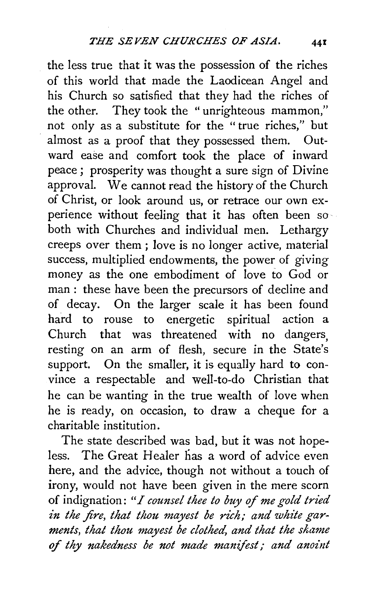the less true that it was the possession of the riches of this world that made the Laodicean Angel and his Church so satisfied that they had the riches of the other. They took the "unrighteous mammon," not only as a substitute for the " true riches," but almost as a proof that they possessed them. Outward ease and comfort took the place of inward peace ; prosperity was thought a sure sign of Divine approval. We cannot read the history of the Church of Christ, or look around us, or retrace our own experience without feeling that it has often been so both with Churches and individual men. Lethargy creeps over them ; love is no longer active, material success, multiplied endowments, the power of giving money as the one embodiment of love to God or man: these have been the precursors of decline and of decay. On the larger scale it has been found hard to rouse to energetic spiritual action a Church that was threatened with no dangers, resting on an arm of flesh, secure in the State's support. On the smaller, it is equally hard to convince a respectable and well-to-do Christian that he can be wanting in the true wealth of love when he is ready, on occasion, to draw a cheque for a charitable institution.

The state described was bad, but it was not hopeless. The Great Healer has a word of advice even here, and the advice, though not without a touch of irony, would not have been given in the mere scorn of indignation: *"I counsel thee to buy of me gold tried*  in the fire, that thou mayest be rich; and white gar*ments, that thou mayest be clothed, and that the shame*  of *thy nakedness be not made manifest; and anoint*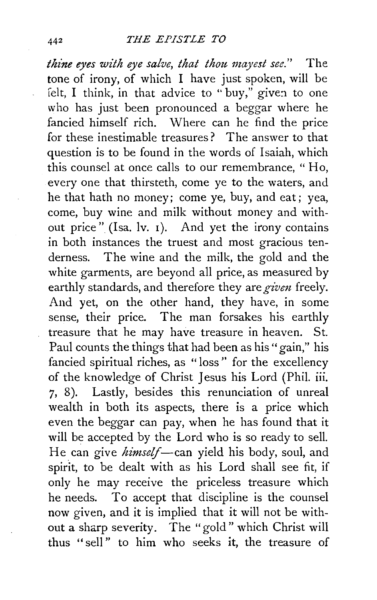*thine eyes with eye salve, that thou mayest see.*" The tone of irony, of which I have just spoken, will be felt. I think, in that advice to "buy," given to one who has just been pronounced a beggar where he fancied himself rich. Where can he find the price for these inestimable treasures? The answer to that question is to be found in the words of Isaiah, which this counsel at once calls to our remembrance, "Ho, every one that thirsteth, come ye to the waters, and he that hath no money; come ye, buy, and eat; yea, come, buy wine and milk without money and without price" (Isa. lv. 1). And yet the irony contains in both instances the truest and most gracious tenderness. The wine and the milk, the gold and the white garments, are beyond all price, as measured by earthly standards, and therefore they are *given* freely. And yet, on the other hand, they have, in some sense, their price. The man forsakes his earthly treasure that he may have treasure in heaven. St. Paul counts the things that had been as his "gain," his fancied spiritual riches, as " loss " for the excellency of the knowledge of Christ Jesus his Lord (Phil. iii. 7, 8). Lastly, besides this renunciation of unreal wealth in both its aspects, there is a price which even the beggar can pay, when he has found that it will be accepted by the Lord who is so ready to sell. He can give *himself*-can yield his body, soul, and spirit, to be dealt with as his Lord shall see fit, if only he may receive the priceless treasure which he needs. To accept that discipline is the counsel now given, and it is implied that it will not be without a sharp severity. The "gold" which Christ will thus "sell" to him who seeks it, the treasure of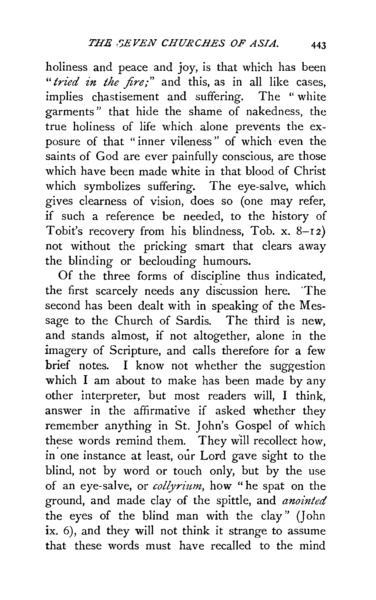holiness and peace and joy, is that which has been "*tried in the fire;*" and this, as in all like cases, implies chastisement and suffering. The "white garments" that hide the shame of nakedness, the true holiness of life which alone prevents the exposure of that "inner vileness" of which· even the saints of God are ever painfully conscious, are those which have been made white in that blood of Christ which symbolizes suffering. The eye-salve, which gives clearness of vision, does so (one may refer, if such a reference be needed, to the history of Tobit's recovery from his blindness, Tob. x.  $8-12$ ) not without the pricking smart that clears away the blinding or beclouding humours.

Of the three forms of discipline thus indicated, the first scarcely needs any discussion here. 'The second has been dealt with in speaking of the Message to the Church of Sardis. The third is new, and stands almost, if not altogether, alone in the imagery of Scripture, and calls therefore for a few brief notes. I know not whether the suggestion which I am about to make has been made by any other interpreter, but most readers will, I think, answer in the affirmative if asked whether they remember anything in St. John's Gospel of which these words remind them. They w'ill recollect how, in one instance at least, our Lord gave sight to the blind, not by word or touch only, but by the use of an eye-salve, or *collyrium*, how "he spat on the ground, and made clay of the spittle, and *anointed* the eyes of the blind man with the clay" (John ix. 6), and they will not think it strange to assume that these words must have recalled to the mind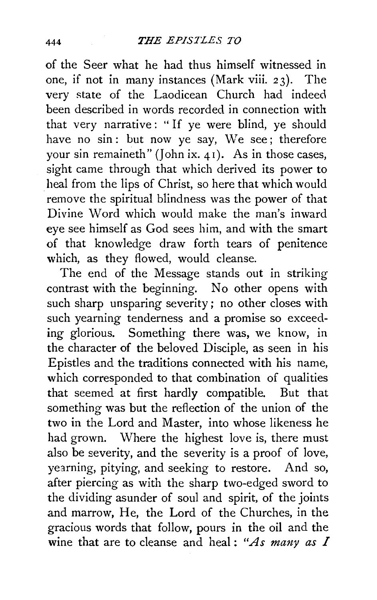of the Seer what he had thus himself witnessed in one, if not in many instances (Mark viii. 23). The very state of the Laodicean Church had indeed been described in words recorded in connection with that very narrative: "If ye were blind, ye should have no sin: but now ye say, We see; therefore your sin remaineth" (John ix.  $41$ ). As in those cases, sight came through that which derived its power to heal from the lips of Christ, so here that which would remove the spiritual blindness was the power of that Divine Word which would make the man's inward eye see himself as God sees him, and with the smart of that knowledge draw forth tears of penitence which, as they flowed, would cleanse.

The end of the Message stands out in striking contrast with the beginning. No other opens with such sharp unsparing severity; no other closes with such yearning tenderness and a promise so exceeding glorious. Something there was, we know, in the character of the beloved Disciple, as seen in his Epistles and the traditions connected with his name, which corresponded to that combination of qualities that seemed at first hardly compatible. But that something was but the reflection of the union of the two in the Lord and Master, into whose likeness he had grown. Where the highest love is, there must also be severity, and the severity is a proof of love, yearning, pitying, and seeking to restore. And so, after piercing as with the sharp two-edged sword to the dividing asunder of soul and spirit, of the joints and marrow, He, the Lord of the Churches, in the gracious words that follow, pours in the oil and the wine that are to cleanse and heal: "As many as  $I$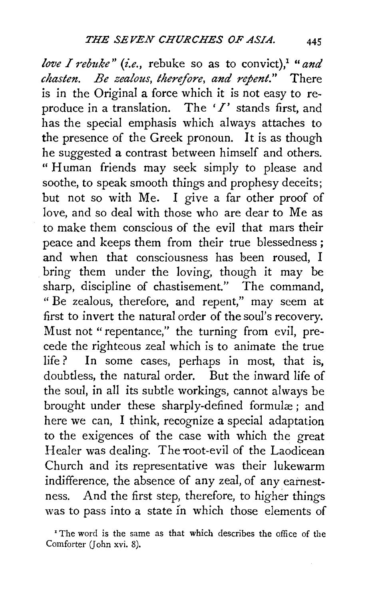*love I rebuke" (i.e., rebuke so as to convict),<sup>1</sup> "and chasten. Be zealous, therefore, and repent."* There is in the Original a force which it is not easy to reproduce in a translation. The *'I'* stands first, and has the special emphasis which always attaches to the presence of the Greek pronoun. It is as though he suggested a contrast between himself and others. " Human friends may seek simply to please and soothe, to speak smooth things and prophesy deceits; but not so with Me. I give a far other proof of love, and so deal with those who are dear to Me as to make them conscious of the evil that mars their peace and keeps them from their true blessedness ; and when that consciousness has been roused, I bring them under the loving, though it may be sharp, discipline of chastisement." The command, " Be zealous, therefore, and repent," may seem at first to invert the natural order of the soul's recovery. Must not " repentance," the turning from evil, precede the righteous zeal which is to animate the true life? In some cases, perhaps in most, that is, doubtless, the natural order. But the inward life of the soul, in all its subtle workings, cannot always be brought under these sharply-defined formulæ; and here we can, I think, recognize a special adaptation to the exigences of the case with which the great Healer was dealing. The root-evil of the Laodicean Church and its representative was their lukewarm indifference, the absence of any zeal, of any earnestness. And the first step, therefore, to higher things was to pass into a state in which those elements of

<sup>&#</sup>x27;The word is the same as that which describes the office of the Comforter (John xvi. 8).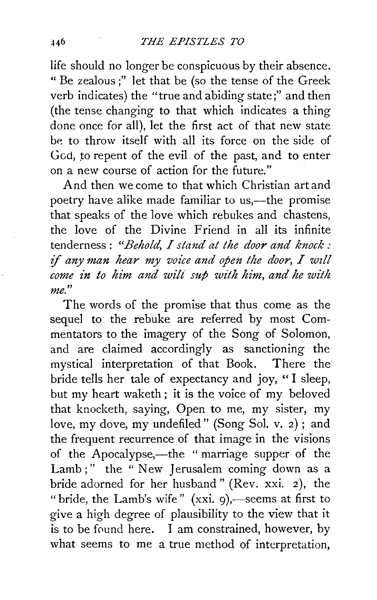life should no longer be conspicuous by their absence. "Be zealous;" let that be (so the tense of the Greek verb indicates) the "true and abiding state;" and then (the tense changing to that which indicates a thing done once for all), let the first act of that new state be to throw itself with all its force on the side of God, to repent of the evil of the past, and to enter on a new course of action for the future."

And then we come to that which Christian art and poetry have alike made familiar to us,—the promise that speaks of the love which rebukes and chastens, the love of the Divine Friend in all its infinite tenderness : *"Behold, I stand at the door and knock : if any man hear my voice and open the door,* <sup>I</sup>*wzll come in to him and wilt sup with him, and he with me.* "

The words of the promise that thus come as the sequel to the rebuke are referred by most Commentators to the imagery of the Song of Solomon, and are claimed accordingly as sanctioning the mystical interpretation of that Book. There the bride tells her tale of expectancy and joy, "I sleep, but my heart waketh ; it is the voice of my beloved that knocketh, saying, Open to me, my sister, my love, my dove, my undefiled" (Song Sol. v. 2) ; and the frequent recurrence of that image in the visions of the Apocalypse,—the " marriage supper of the Lamb ;" the "New Jerusalem coming down as a bride adorned for her husband " (Rev. xxi. *2* ), the "bride, the Lamb's wife" (xxi. 9),-seems at first to give a high degree of plausibility to the view that it is to be found here.  $\bar{I}$  am constrained, however, by what seems to me a true method of interpretation,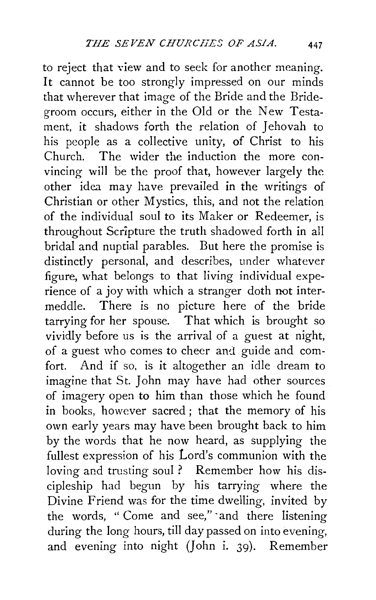to reject that view and to seek for another meaning. It cannot be too strongly impressed on our minds that wherever that image of the Bride and the Bridegroom occurs, either in the Old or the New Testament, it shadows forth the relation of Jehovah to his people as a collective unity, of Christ to his Church. The wider the induction the more convincing will be the proof that, however largely the other idea may have prevailed in the writings of Christian or other Mystics, this, and not the relation of the individual soul to its Maker or Redeemer, is throughout Scripture the truth shadowed forth in all bridal and nuptial parables. But here the promise is distinctly personal, and describes, under whatever figure, what belongs to that living individual experience of a joy with which a stranger doth not intermeddle. There is no picture here of the bride tarrying for her spouse. That which is brought so vividly before us is the arrival of a guest at night, of a guest who comes to cheer and guide and comfort. And if so, is it altogether an idle dream to imagine that St. John may have had other sources of imagery open to him than those which he found in books, however sacred ; that the memory of his own early years may have been brought back to him by the words that he now heard, as supplying the fullest expression of his Lord's communion with the loving and trusting soul ? Remember how his discipleship had begun by his tarrying where the Divine Friend was for the time dwelling, invited by the words, " Come and see," ·and there listening during the long hours, till day passed on into evening, and evening into night *(]* ohn i. 39). Remember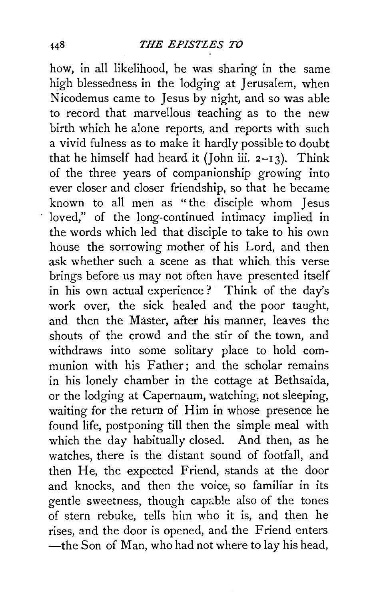how, in all likelihood, he was sharing in the same high blessedness in the lodging at Jerusalem, when Nicodemus came to Jesus by night, and so was able to record that marvellous teaching as to the new birth which he alone reports, and reports with such a vivid fulness as to make it hardly possible to doubt that he himself had heard it (John iii.  $2-13$ ). Think of the three years of companionship growing into ever closer and closer friendship, so that he became known to all men as "the disciple whom Jesus loved," of the long-continued intimacy implied in the words which led that disciple to take to his own house the sorrowing mother of his Lord, and then ask whether such a scene as that which this verse brings before us may not often have presented itself in his own actual experience? Think of the day's work over, the sick healed and the poor taught, and then the Master, after his manner, leaves the shouts of the crowd and the stir of the town, and withdraws into some solitary place to hold communion with his Father; and the scholar remains in his lonely chamber in the cottage at Bethsaida, or the lodging at Capernaum, watching, not sleeping, waiting for the return of Him in whose presence he found life, postponing till then the simple meal with which the day habitually closed. And then, as he watches, there is the distant sound of footfall, and then He, the expected Friend, stands at the door and knocks, and then the voice, so familiar in its gentle sweetness, though capable also of the tones of stern rebuke, tells him who it is, and then he rises, and the door is opened, and the Friend enters -the Son of Man, who had not where to lay his head,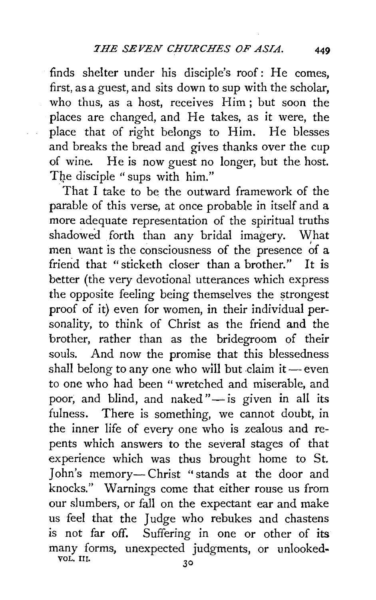finds shelter under his disciple's roof: He comes, first, as a guest, and sits down to sup with the scholar, who thus, as a host, receives Him ; but soon the places are changed, and He takes, as it were, the place that of right belongs to Him. He blesses and breaks the bread and gives thanks over the cup of wine. He is now guest no longer, but the host. The disciple "sups with him."

That I take to be the outward framework of the parable of this verse, at once probable in itself and a more adequate representation of the spiritual truths shadowed forth than any bridal imagery. What men want is the consciousness of the presence of  $a$ friend that "sticketh closer than a brother." It is better (the very devotional utterances which express the opposite feeling being themselves the strongest proof of it) even for women, in their individual personality, to think of Christ as the friend and the brother, rather than as the bridegroom of their souls. And now the promise that this blessedness shall belong to any one who will but claim it  $-$  even to one who had been "wretched and miserable, and poor, and blind, and naked" $-$  is given in all its fulness. There is something, we cannot doubt, in the inner life of every one who is zealous and repents which answers to the several stages of that experience which was thus brought home to St. John's memory-Christ "stands at the door and knocks." Warnings come that either rouse us from our slumbers, or fall on the expectant ear and make us feel that the Judge who rebukes and chastens is not far off. Suffering in one or other of its many forms, unexpected judgments, or unlookedvol. III. 30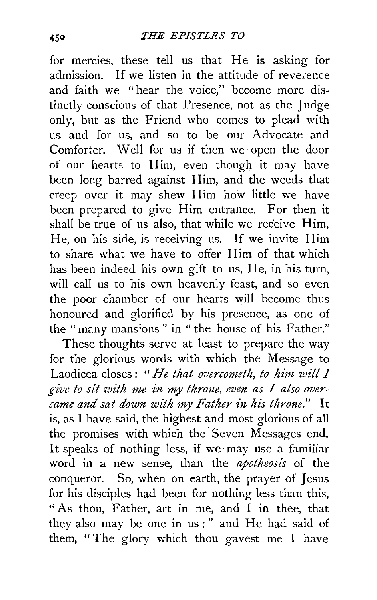for mercies, these tell us that He is asking for admission. If we listen in the attitude of reverence and faith we "hear the voice," become more distinctly conscious of that Presence, not as the Judge only, but as the Friend who comes to plead with us and for us, and so to be our Advocate and Comforter. Well for us if then we open the door of our hearts to Him, even though it may have been long barred against Him, and the weeds that creep over it may shew Him how little we have been prepared to give Him entrance. For then it shall be true of us also, that while we receive Him, He, on his side, is receiving us. If we invite Him to share what we have to offer Him of that which has been indeed his own gift to us, He, in his turn, will call us to his own heavenly feast, and so even the poor chamber of our hearts will become thus honoured and glorified by his presence, as one of the "many mansions" in "the house of his Father."

These thoughts serve at least to prepare the way for the glorious words with which the Message to Laodicea closes : " *He that overcometh, to him zvill 1*  give to sit with me in my throne, even as I also over*came and sat dozvn with my Father in his throne."* It is, as I have said, the highest and most glorious of all the promises with which the Seven Messages end. It speaks of nothing less, if we may use a familiar word in a new sense, than the *apotheosis* of the conqueror. So, when on earth, the prayer of Jesus for his disciples had been for nothing less than this, "As thou, Father, art in me, and I in thee, that they also may be one in us;" and He had said of them, "The glory which thou gavest me I have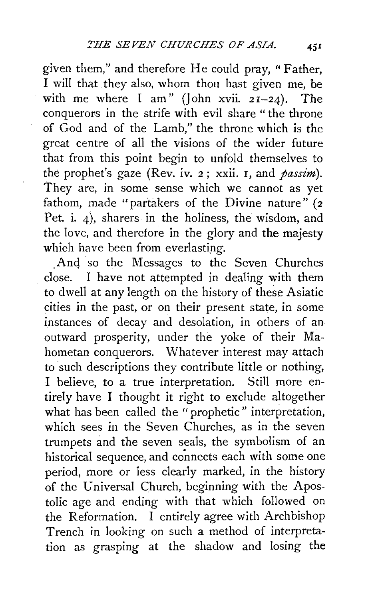given them," and therefore He could pray, "Father, I will that they also, whom thou hast given me, be with me where I am" (John xvii.  $2I-24$ ). The conquerors in the strife with evil share "the throne of God and of the Lamb," the throne which is the great centre of all the visions of the wider future that from this point begin to unfold themselves to the prophet's gaze (Rev. iv. 2; xxii. I, and *passim).*  They are, in some sense which we cannot as yet fathom, made "partakers of the Divine nature" (2 Pet. i. 4), sharers in the holiness, the wisdom, and the love, and therefore in the glory and the majesty which have been from everlasting.

And so the Messages to the Seven Churches close. I have not attempted in dealing with them to dwell at any length on the history of these Asiatic cities in the past, or on their present state, in some instances of decay and desolation, in others of an, outward prosperity, under the yoke of their Mahometan conquerors. Whatever interest may attach to such descriptions they contribute little or nothing, I believe, to a true interpretation. Still more entirely have I thought it right to exclude altogether what has been called the "prophetic" interpretation, which sees in the Seven Churches, as in the seven trumpets and the seven seals, the symbolism of an historical sequence, and connects each with some one period, more or less clearly marked, in the history of the Universal Church, beginning with the Apostolic age and ending with that which followed on the Reformation. I entirely agree with Archbishop Trench in looking on such a method of interpretation as grasping at the shadow and losing the